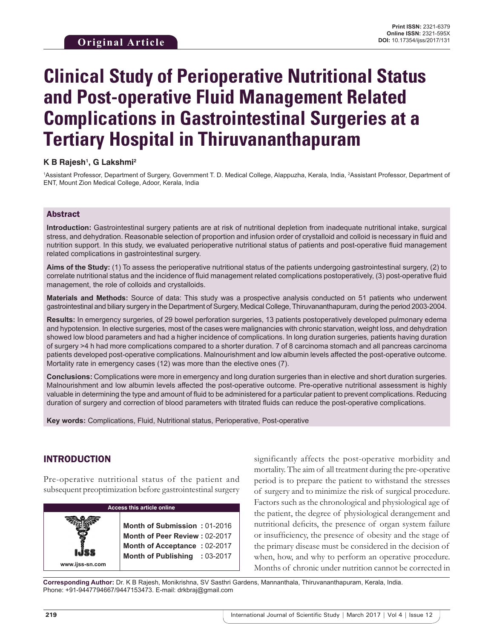# **Clinical Study of Perioperative Nutritional Status and Post-operative Fluid Management Related Complications in Gastrointestinal Surgeries at a Tertiary Hospital in Thiruvananthapuram**

## **K B Rajesh1 , G Lakshmi2**

1Assistant Professor, Department of Surgery, Government T. D. Medical College, Alappuzha, Kerala, India, <sup>2</sup>Assistant Professor, Department of ENT, Mount Zion Medical College, Adoor, Kerala, India

## Abstract

**Introduction:** Gastrointestinal surgery patients are at risk of nutritional depletion from inadequate nutritional intake, surgical stress, and dehydration. Reasonable selection of proportion and infusion order of crystalloid and colloid is necessary in fluid and nutrition support. In this study, we evaluated perioperative nutritional status of patients and post-operative fluid management related complications in gastrointestinal surgery.

**Aims of the Study:** (1) To assess the perioperative nutritional status of the patients undergoing gastrointestinal surgery, (2) to correlate nutritional status and the incidence of fluid management related complications postoperatively, (3) post-operative fluid management, the role of colloids and crystalloids.

**Materials and Methods:** Source of data: This study was a prospective analysis conducted on 51 patients who underwent gastrointestinal and biliary surgery in the Department of Surgery, Medical College, Thiruvananthapuram, during the period 2003-2004.

**Results:** In emergency surgeries*,* of 29 bowel perforation surgeries, 13 patients postoperatively developed pulmonary edema and hypotension. In elective surgeries*,* most of the cases were malignancies with chronic starvation, weight loss, and dehydration showed low blood parameters and had a higher incidence of complications. In long duration surgeries*,* patients having duration of surgery >4 h had more complications compared to a shorter duration. 7 of 8 carcinoma stomach and all pancreas carcinoma patients developed post-operative complications. Malnourishment and low albumin levels affected the post-operative outcome. Mortality rate in emergency cases (12) was more than the elective ones (7).

**Conclusions:** Complications were more in emergency and long duration surgeries than in elective and short duration surgeries. Malnourishment and low albumin levels affected the post-operative outcome. Pre-operative nutritional assessment is highly valuable in determining the type and amount of fluid to be administered for a particular patient to prevent complications. Reducing duration of surgery and correction of blood parameters with titrated fluids can reduce the post-operative complications.

**Key words:** Complications, Fluid, Nutritional status, Perioperative, Post-operative

## INTRODUCTION

Pre-operative nutritional status of the patient and subsequent preoptimization before gastrointestinal surgery

| <b>Access this article online</b> |                                                                                                                                |  |  |  |
|-----------------------------------|--------------------------------------------------------------------------------------------------------------------------------|--|--|--|
| www.ijss-sn.com                   | Month of Submission: 01-2016<br>Month of Peer Review: 02-2017<br>Month of Acceptance: 02-2017<br>Month of Publishing : 03-2017 |  |  |  |

significantly affects the post-operative morbidity and mortality. The aim of all treatment during the pre-operative period is to prepare the patient to withstand the stresses of surgery and to minimize the risk of surgical procedure. Factors such as the chronological and physiological age of the patient, the degree of physiological derangement and nutritional deficits, the presence of organ system failure or insufficiency, the presence of obesity and the stage of the primary disease must be considered in the decision of when, how, and why to perform an operative procedure. Months of chronic under nutrition cannot be corrected in

**Corresponding Author:** Dr. K B Rajesh, Monikrishna, SV Sasthri Gardens, Mannanthala, Thiruvananthapuram, Kerala, India. Phone: +91-9447794667/9447153473. E-mail: drkbraj@gmail.com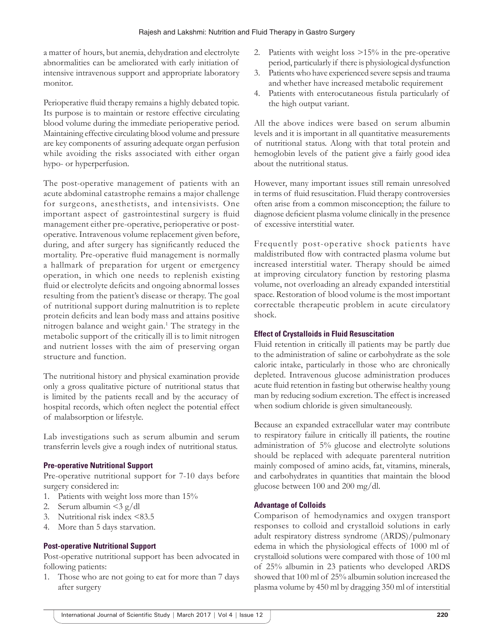a matter of hours, but anemia, dehydration and electrolyte abnormalities can be ameliorated with early initiation of intensive intravenous support and appropriate laboratory monitor.

Perioperative fluid therapy remains a highly debated topic. Its purpose is to maintain or restore effective circulating blood volume during the immediate perioperative period. Maintaining effective circulating blood volume and pressure are key components of assuring adequate organ perfusion while avoiding the risks associated with either organ hypo- or hyperperfusion.

The post-operative management of patients with an acute abdominal catastrophe remains a major challenge for surgeons, anesthetists, and intensivists. One important aspect of gastrointestinal surgery is fluid management either pre-operative, perioperative or postoperative. Intravenous volume replacement given before, during, and after surgery has significantly reduced the mortality. Pre-operative fluid management is normally a hallmark of preparation for urgent or emergency operation, in which one needs to replenish existing fluid or electrolyte deficits and ongoing abnormal losses resulting from the patient's disease or therapy. The goal of nutritional support during malnutrition is to replete protein deficits and lean body mass and attains positive nitrogen balance and weight gain.<sup>1</sup> The strategy in the metabolic support of the critically ill is to limit nitrogen and nutrient losses with the aim of preserving organ structure and function.

The nutritional history and physical examination provide only a gross qualitative picture of nutritional status that is limited by the patients recall and by the accuracy of hospital records, which often neglect the potential effect of malabsorption or lifestyle.

Lab investigations such as serum albumin and serum transferrin levels give a rough index of nutritional status.

## **Pre-operative Nutritional Support**

Pre-operative nutritional support for 7-10 days before surgery considered in:

- 1. Patients with weight loss more than 15%
- 2. Serum albumin  $\langle 3 \text{ g}/\text{d} \text{l} \rangle$
- 3. Nutritional risk index <83.5
- 4. More than 5 days starvation.

## **Post-operative Nutritional Support**

Post-operative nutritional support has been advocated in following patients:

Those who are not going to eat for more than 7 days after surgery

- 2. Patients with weight loss >15% in the pre-operative period, particularly if there is physiological dysfunction
- 3. Patients who have experienced severe sepsis and trauma and whether have increased metabolic requirement
- 4. Patients with enterocutaneous fistula particularly of the high output variant.

All the above indices were based on serum albumin levels and it is important in all quantitative measurements of nutritional status. Along with that total protein and hemoglobin levels of the patient give a fairly good idea about the nutritional status.

However, many important issues still remain unresolved in terms of fluid resuscitation. Fluid therapy controversies often arise from a common misconception; the failure to diagnose deficient plasma volume clinically in the presence of excessive interstitial water.

Frequently post-operative shock patients have maldistributed flow with contracted plasma volume but increased interstitial water. Therapy should be aimed at improving circulatory function by restoring plasma volume, not overloading an already expanded interstitial space. Restoration of blood volume is the most important correctable therapeutic problem in acute circulatory shock.

## **Effect of Crystalloids in Fluid Resuscitation**

Fluid retention in critically ill patients may be partly due to the administration of saline or carbohydrate as the sole caloric intake, particularly in those who are chronically depleted. Intravenous glucose administration produces acute fluid retention in fasting but otherwise healthy young man by reducing sodium excretion. The effect is increased when sodium chloride is given simultaneously.

Because an expanded extracellular water may contribute to respiratory failure in critically ill patients, the routine administration of 5% glucose and electrolyte solutions should be replaced with adequate parenteral nutrition mainly composed of amino acids, fat, vitamins, minerals, and carbohydrates in quantities that maintain the blood glucose between 100 and 200 mg/dl.

## **Advantage of Colloids**

Comparison of hemodynamics and oxygen transport responses to colloid and crystalloid solutions in early adult respiratory distress syndrome (ARDS)/pulmonary edema in which the physiological effects of 1000 ml of crystalloid solutions were compared with those of 100 ml of 25% albumin in 23 patients who developed ARDS showed that 100 ml of 25% albumin solution increased the plasma volume by 450 ml by dragging 350 ml of interstitial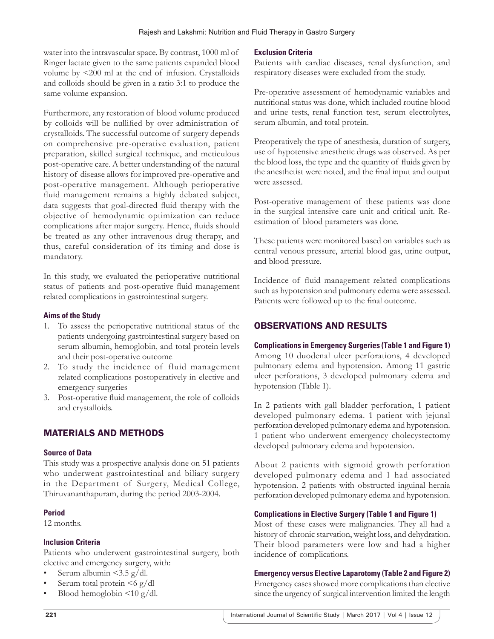water into the intravascular space. By contrast, 1000 ml of Ringer lactate given to the same patients expanded blood volume by <200 ml at the end of infusion. Crystalloids and colloids should be given in a ratio 3:1 to produce the same volume expansion.

Furthermore, any restoration of blood volume produced by colloids will be nullified by over administration of crystalloids. The successful outcome of surgery depends on comprehensive pre-operative evaluation, patient preparation, skilled surgical technique, and meticulous post-operative care. A better understanding of the natural history of disease allows for improved pre-operative and post-operative management. Although perioperative fluid management remains a highly debated subject, data suggests that goal-directed fluid therapy with the objective of hemodynamic optimization can reduce complications after major surgery. Hence, fluids should be treated as any other intravenous drug therapy, and thus, careful consideration of its timing and dose is mandatory.

In this study, we evaluated the perioperative nutritional status of patients and post-operative fluid management related complications in gastrointestinal surgery.

## **Aims of the Study**

- 1. To assess the perioperative nutritional status of the patients undergoing gastrointestinal surgery based on serum albumin, hemoglobin, and total protein levels and their post-operative outcome
- 2. To study the incidence of fluid management related complications postoperatively in elective and emergency surgeries
- 3. Post-operative fluid management, the role of colloids and crystalloids.

## MATERIALS AND METHODS

## **Source of Data**

This study was a prospective analysis done on 51 patients who underwent gastrointestinal and biliary surgery in the Department of Surgery, Medical College, Thiruvananthapuram, during the period 2003-2004.

## **Period**

12 months.

## **Inclusion Criteria**

Patients who underwent gastrointestinal surgery, both elective and emergency surgery, with:

- Serum albumin  $\langle 3.5 \text{ g}/\text{d}$ l.
- Serum total protein  $\leq 6$  g/dl
- Blood hemoglobin  $\leq 10$  g/dl.

## **Exclusion Criteria**

Patients with cardiac diseases, renal dysfunction, and respiratory diseases were excluded from the study.

Pre-operative assessment of hemodynamic variables and nutritional status was done, which included routine blood and urine tests, renal function test, serum electrolytes, serum albumin, and total protein.

Preoperatively the type of anesthesia, duration of surgery, use of hypotensive anesthetic drugs was observed. As per the blood loss, the type and the quantity of fluids given by the anesthetist were noted, and the final input and output were assessed.

Post-operative management of these patients was done in the surgical intensive care unit and critical unit. Reestimation of blood parameters was done.

These patients were monitored based on variables such as central venous pressure, arterial blood gas, urine output, and blood pressure.

Incidence of fluid management related complications such as hypotension and pulmonary edema were assessed. Patients were followed up to the final outcome.

## OBSERVATIONS AND RESULTS

**Complications in Emergency Surgeries (Table 1 and Figure 1)** Among 10 duodenal ulcer perforations, 4 developed pulmonary edema and hypotension. Among 11 gastric ulcer perforations, 3 developed pulmonary edema and hypotension (Table 1).

In 2 patients with gall bladder perforation, 1 patient developed pulmonary edema. 1 patient with jejunal perforation developed pulmonary edema and hypotension. 1 patient who underwent emergency cholecystectomy developed pulmonary edema and hypotension.

About 2 patients with sigmoid growth perforation developed pulmonary edema and 1 had associated hypotension. 2 patients with obstructed inguinal hernia perforation developed pulmonary edema and hypotension.

## **Complications in Elective Surgery (Table 1 and Figure 1)**

Most of these cases were malignancies. They all had a history of chronic starvation, weight loss, and dehydration. Their blood parameters were low and had a higher incidence of complications.

## **Emergency versus Elective Laparotomy (Table 2 and Figure 2)**

Emergency cases showed more complications than elective since the urgency of surgical intervention limited the length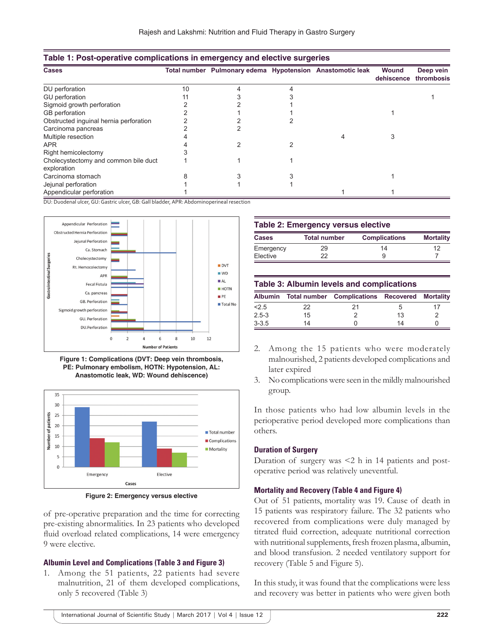| <b>Cases</b>                                        |    | Total number Pulmonary edema Hypotension Anastomotic leak |  | <b>Wound</b><br>dehiscence | Deep vein<br>thrombosis |
|-----------------------------------------------------|----|-----------------------------------------------------------|--|----------------------------|-------------------------|
| DU perforation                                      | 10 |                                                           |  |                            |                         |
| GU perforation                                      |    |                                                           |  |                            |                         |
| Sigmoid growth perforation                          |    |                                                           |  |                            |                         |
| GB perforation                                      |    |                                                           |  |                            |                         |
| Obstructed inguinal hernia perforation              |    |                                                           |  |                            |                         |
| Carcinoma pancreas                                  |    |                                                           |  |                            |                         |
| Multiple resection                                  |    |                                                           |  |                            |                         |
| APR.                                                |    |                                                           |  |                            |                         |
| Right hemicolectomy                                 |    |                                                           |  |                            |                         |
| Cholecystectomy and common bile duct<br>exploration |    |                                                           |  |                            |                         |
| Carcinoma stomach                                   |    |                                                           |  |                            |                         |
| Jejunal perforation                                 |    |                                                           |  |                            |                         |
| Appendicular perforation                            |    |                                                           |  |                            |                         |

#### **Table 1: Post‑operative complications in emergency and elective surgeries**

DU: Duodenal ulcer, GU: Gastric ulcer, GB: Gall bladder, APR: Abdominoperineal resection







**Figure 2: Emergency versus elective**

of pre-operative preparation and the time for correcting pre-existing abnormalities. In 23 patients who developed fluid overload related complications, 14 were emergency 9 were elective.

#### **Albumin Level and Complications (Table 3 and Figure 3)**

1. Among the 51 patients, 22 patients had severe malnutrition, 21 of them developed complications, only 5 recovered (Table 3)

| <b>Table 2: Emergency versus elective</b> |                     |                      |                  |  |  |
|-------------------------------------------|---------------------|----------------------|------------------|--|--|
| Cases                                     | <b>Total number</b> | <b>Complications</b> | <b>Mortality</b> |  |  |
| Emergency                                 | 29                  | 14                   | 12               |  |  |
| Elective                                  | つつ                  | 9                    |                  |  |  |

#### **Table 3: Albumin levels and complications**

| <b>Albumin</b> |    | <b>Total number</b> Complications Recovered Mortality |    |  |
|----------------|----|-------------------------------------------------------|----|--|
| 2.5            | 22 | 21                                                    |    |  |
| $2.5 - 3$      | 15 |                                                       | 13 |  |
| $3 - 3.5$      | 14 |                                                       | 14 |  |

- 2. Among the 15 patients who were moderately malnourished, 2 patients developed complications and later expired
- 3. No complications were seen in the mildly malnourished group.

In those patients who had low albumin levels in the perioperative period developed more complications than others.

#### **Duration of Surgery**

Duration of surgery was <2 h in 14 patients and postoperative period was relatively uneventful.

#### **Mortality and Recovery (Table 4 and Figure 4)**

Out of 51 patients, mortality was 19. Cause of death in 15 patients was respiratory failure. The 32 patients who recovered from complications were duly managed by titrated fluid correction, adequate nutritional correction with nutritional supplements, fresh frozen plasma, albumin, and blood transfusion. 2 needed ventilatory support for recovery (Table 5 and Figure 5).

In this study, it was found that the complications were less and recovery was better in patients who were given both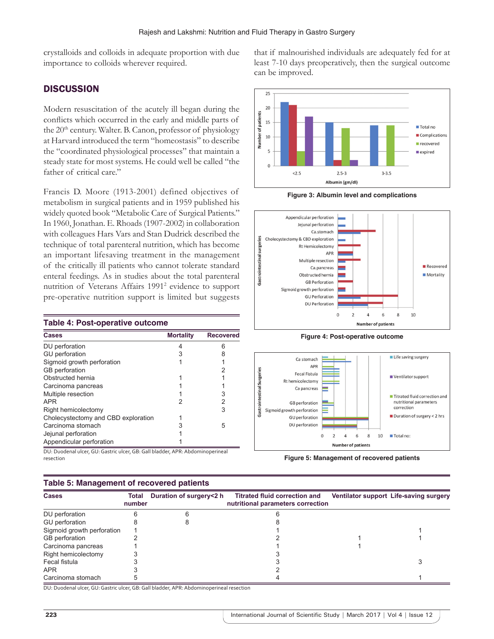crystalloids and colloids in adequate proportion with due importance to colloids wherever required.

## **DISCUSSION**

Modern resuscitation of the acutely ill began during the conflicts which occurred in the early and middle parts of the 20<sup>th</sup> century. Walter. B. Canon, professor of physiology at Harvard introduced the term "homeostasis" to describe the "coordinated physiological processes" that maintain a steady state for most systems. He could well be called "the father of critical care."

Francis D. Moore (1913-2001) defined objectives of metabolism in surgical patients and in 1959 published his widely quoted book "Metabolic Care of Surgical Patients." In 1960, Jonathan. E. Rhoads (1907-2002) in collaboration with colleagues Hars Vars and Stan Dudrick described the technique of total parenteral nutrition, which has become an important lifesaving treatment in the management of the critically ill patients who cannot tolerate standard enteral feedings. As in studies about the total parenteral nutrition of Veterans Affairs 1991<sup>2</sup> evidence to support pre-operative nutrition support is limited but suggests

| <b>Table 4: Post-operative outcome</b>                                                             |                  |                  |  |  |  |  |
|----------------------------------------------------------------------------------------------------|------------------|------------------|--|--|--|--|
| Cases                                                                                              | <b>Mortality</b> | <b>Recovered</b> |  |  |  |  |
| DU perforation                                                                                     | 4                | 6                |  |  |  |  |
| <b>GU</b> perforation                                                                              | 3                |                  |  |  |  |  |
| Sigmoid growth perforation                                                                         |                  |                  |  |  |  |  |
| <b>GB</b> perforation                                                                              |                  |                  |  |  |  |  |
| Obstructed hernia                                                                                  |                  |                  |  |  |  |  |
| Carcinoma pancreas                                                                                 |                  |                  |  |  |  |  |
| Multiple resection                                                                                 |                  |                  |  |  |  |  |
| <b>APR</b>                                                                                         |                  | 2                |  |  |  |  |
| Right hemicolectomy                                                                                |                  | 3                |  |  |  |  |
| Cholecystectomy and CBD exploration                                                                |                  |                  |  |  |  |  |
| Carcinoma stomach                                                                                  |                  | 5                |  |  |  |  |
| Jejunal perforation                                                                                |                  |                  |  |  |  |  |
| Appendicular perforation<br>DH Ducalcael aless CH Central aless CD Cell Lledder ADD Abdenstreament |                  |                  |  |  |  |  |

DU: Duodenal ulcer, GU: Gastric ulcer, GB: Gall bladder, APR: Abdominoperineal resection

## **Table 5: Management of recovered patients**





**Figure 3: Albumin level and complications**



**Figure 4: Post-operative outcome**



**Figure 5: Management of recovered patients**

| Table 5: Management of recovered patients |                 |                         |                                                                           |  |                                        |  |
|-------------------------------------------|-----------------|-------------------------|---------------------------------------------------------------------------|--|----------------------------------------|--|
| Cases                                     | Total<br>number | Duration of surgery<2 h | <b>Titrated fluid correction and</b><br>nutritional parameters correction |  | Ventilator support Life-saving surgery |  |
| DU perforation                            |                 |                         |                                                                           |  |                                        |  |
| GU perforation                            |                 |                         |                                                                           |  |                                        |  |
| Sigmoid growth perforation                |                 |                         |                                                                           |  |                                        |  |
| GB perforation                            |                 |                         |                                                                           |  |                                        |  |
| Carcinoma pancreas                        |                 |                         |                                                                           |  |                                        |  |
| Right hemicolectomy                       |                 |                         |                                                                           |  |                                        |  |
| Fecal fistula                             |                 |                         |                                                                           |  |                                        |  |
| APR                                       |                 |                         |                                                                           |  |                                        |  |
| Carcinoma stomach                         |                 |                         |                                                                           |  |                                        |  |

DU: Duodenal ulcer, GU: Gastric ulcer, GB: Gall bladder, APR: Abdominoperineal resection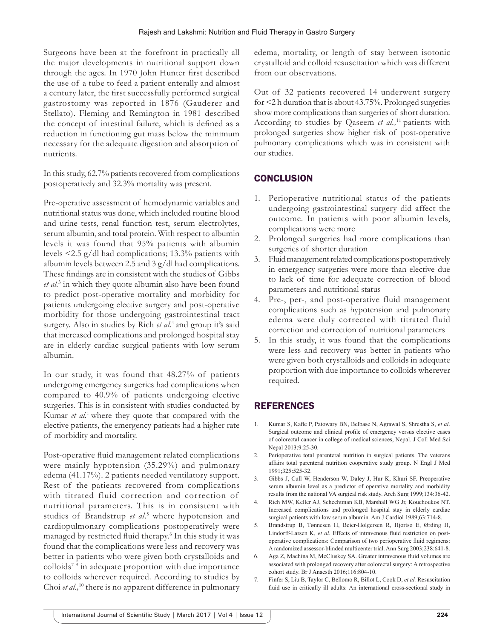Surgeons have been at the forefront in practically all the major developments in nutritional support down through the ages. In 1970 John Hunter first described the use of a tube to feed a patient enterally and almost a century later, the first successfully performed surgical gastrostomy was reported in 1876 (Gauderer and Stellato). Fleming and Remington in 1981 described the concept of intestinal failure, which is defined as a reduction in functioning gut mass below the minimum necessary for the adequate digestion and absorption of nutrients.

In this study, 62.7% patients recovered from complications postoperatively and 32.3% mortality was present.

Pre-operative assessment of hemodynamic variables and nutritional status was done, which included routine blood and urine tests, renal function test, serum electrolytes, serum albumin, and total protein. With respect to albumin levels it was found that 95% patients with albumin levels <2.5 g/dl had complications; 13.3% patients with albumin levels between 2.5 and 3 g/dl had complications. These findings are in consistent with the studies of Gibbs *et al.*<sup>3</sup> in which they quote albumin also have been found to predict post-operative mortality and morbidity for patients undergoing elective surgery and post-operative morbidity for those undergoing gastrointestinal tract surgery. Also in studies by Rich *et al.*4 and group it's said that increased complications and prolonged hospital stay are in elderly cardiac surgical patients with low serum albumin.

In our study, it was found that 48.27% of patients undergoing emergency surgeries had complications when compared to 40.9% of patients undergoing elective surgeries. This is in consistent with studies conducted by Kumar *et al.*1 where they quote that compared with the elective patients, the emergency patients had a higher rate of morbidity and mortality.

Post-operative fluid management related complications were mainly hypotension (35.29%) and pulmonary edema (41.17%). 2 patients needed ventilatory support. Rest of the patients recovered from complications with titrated fluid correction and correction of nutritional parameters. This is in consistent with studies of Brandstrup et al.<sup>5</sup> where hypotension and cardiopulmonary complications postoperatively were managed by restricted fluid therapy.6 In this study it was found that the complications were less and recovery was better in patients who were given both crystalloids and colloids7-9 in adequate proportion with due importance to colloids wherever required. According to studies by Choi *et al.*,<sup>10</sup> there is no apparent difference in pulmonary

edema, mortality, or length of stay between isotonic crystalloid and colloid resuscitation which was different from our observations.

Out of 32 patients recovered 14 underwent surgery for <2 h duration that is about 43.75%. Prolonged surgeries show more complications than surgeries of short duration. According to studies by Qaseem *et al.,*<sup>11</sup> patients with prolonged surgeries show higher risk of post-operative pulmonary complications which was in consistent with our studies.

## **CONCLUSION**

- 1. Perioperative nutritional status of the patients undergoing gastrointestinal surgery did affect the outcome. In patients with poor albumin levels, complications were more
- 2. Prolonged surgeries had more complications than surgeries of shorter duration
- 3. Fluid management related complications postoperatively in emergency surgeries were more than elective due to lack of time for adequate correction of blood parameters and nutritional status
- 4. Pre-, per-, and post-operative fluid management complications such as hypotension and pulmonary edema were duly corrected with titrated fluid correction and correction of nutritional parameters
- 5. In this study, it was found that the complications were less and recovery was better in patients who were given both crystalloids and colloids in adequate proportion with due importance to colloids wherever required.

# REFERENCES

- 1. Kumar S, Kafle P, Patowary BN, Belbase N, Agrawal S, Shrestha S, *et al*. Surgical outcome and clinical profile of emergency versus elective cases of colorectal cancer in college of medical sciences, Nepal. J Coll Med Sci Nepal 2013;9:25-30.
- 2. Perioperative total parenteral nutrition in surgical patients. The veterans affairs total parenteral nutrition cooperative study group. N Engl J Med 1991;325:525-32.
- 3. Gibbs J, Cull W, Henderson W, Daley J, Hur K, Khuri SF. Preoperative serum albumin level as a predictor of operative mortality and morbidity results from the national VA surgical risk study. Arch Surg 1999;134:36-42.
- Rich MW, Keller AJ, Schechtman KB, Marshall WG Jr, Kouchoukos NT. Increased complications and prolonged hospital stay in elderly cardiac surgical patients with low serum albumin. Am J Cardiol 1989;63:714-8.
- 5. Brandstrup B, Tønnesen H, Beier-Holgersen R, Hjortsø E, Ørding H, Lindorff-Larsen K, *et al.* Effects of intravenous fluid restriction on postoperative complications: Comparison of two perioperative fluid regimens: A randomized assessor-blinded multicenter trial. Ann Surg 2003;238:641-8.
- 6. Aga Z, Machina M, McCluskey SA. Greater intravenous fluid volumes are associated with prolonged recovery after colorectal surgery: A retrospective cohort study. Br J Anaesth 2016;116:804-10.
- 7. Finfer S, Liu B, Taylor C, Bellomo R, Billot L, Cook D, *et al.* Resuscitation fluid use in critically ill adults: An international cross-sectional study in